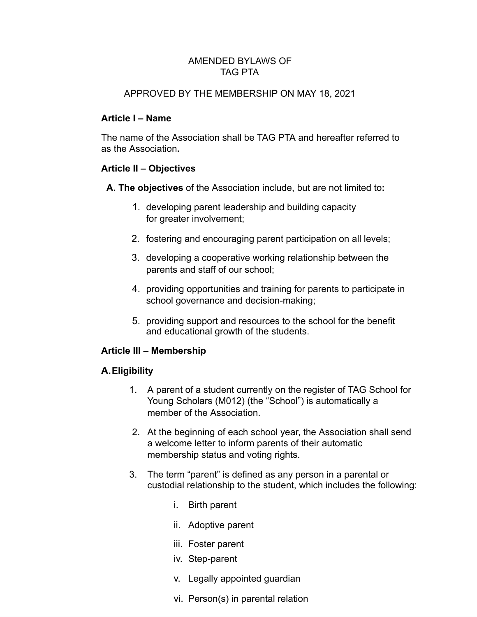#### AMENDED BYLAWS OF TAG PTA

#### APPROVED BY THE MEMBERSHIP ON MAY 18, 2021

### **Article I – Name**

The name of the Association shall be TAG PTA and hereafter referred to as the Association **.** 

### **Article II – Objectives**

**A. The objectives** of the Association include, but are not limited to **:** 

- 1. developing parent leadership and building capacity for greater involvement;
- 2. fostering and encouraging parent participation on all levels;
- 3. developing a cooperative working relationship between the parents and staff of our school;
- 4. providing opportunities and training for parents to participate in school governance and decision-making;
- 5. providing support and resources to the school for the benefit and educational growth of the students.

# **Article III – Membership**

# **A.Eligibility**

- 1. A parent of a student currently on the register of TAG School for Young Scholars (M012) (the "School") is automatically a member of the Association.
- 2. At the beginning of each school year, the Association shall send a welcome letter to inform parents of their automatic membership status and voting rights.
- 3. The term "parent" is defined as any person in a parental or custodial relationship to the student, which includes the following:
	- i. Birth parent
	- ii. Adoptive parent
	- iii. Foster parent
	- iv. Step-parent
	- v. Legally appointed guardian
	- vi. Person(s) in parental relation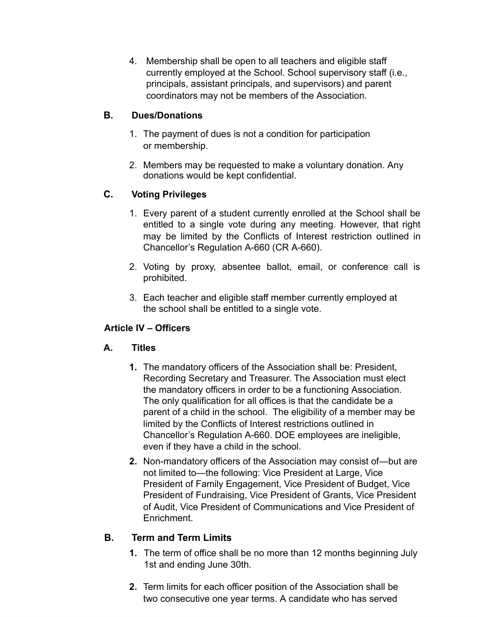4. Membership shall be open to all teachers and eligible staff currently employed at the School. School supervisory staff (i.e., principals, assistant principals, and supervisors) and parent coordinators may not be members of the Association.

# **B. Dues/Donations**

- 1. The payment of dues is not a condition for participation or membership.
- 2. Members may be requested to make a voluntary donation. Any donations would be kept confidential.

# **C. Voting Privileges**

- 1. Every parent of a student currently enrolled at the School shall be entitled to a single vote during any meeting. However, that right may be limited by the Conflicts of Interest restriction outlined in Chancellor's Regulation A-660 (CR A-660).
- 2. Voting by proxy, absentee ballot, email, or conference call is prohibited.
- 3. Each teacher and eligible staff member currently employed at the school shall be entitled to a single vote.

# **Article IV – Officers**

# **A. Titles**

- **1.** The mandatory officers of the Association shall be: President, Recording Secretary and Treasurer. The Association must elect the mandatory officers in order to be a functioning Association. The only qualification for all offices is that the candidate be a parent of a child in the school. The eligibility of a member may be limited by the Conflicts of Interest restrictions outlined in Chancellor's Regulation A-660. DOE employees are ineligible, even if they have a child in the school.
- **2.** Non-mandatory officers of the Association may consist of—but are not limited to—the following: Vice President at Large, Vice President of Family Engagement, Vice President of Budget, Vice President of Fundraising, Vice President of Grants, Vice President of Audit, Vice President of Communications and Vice President of Enrichment.

# **B. Term and Term Limits**

- **1.** The term of office shall be no more than 12 months beginning July 1st and ending June 30th.
- **2.** Term limits for each officer position of the Association shall be two consecutive one year terms. A candidate who has served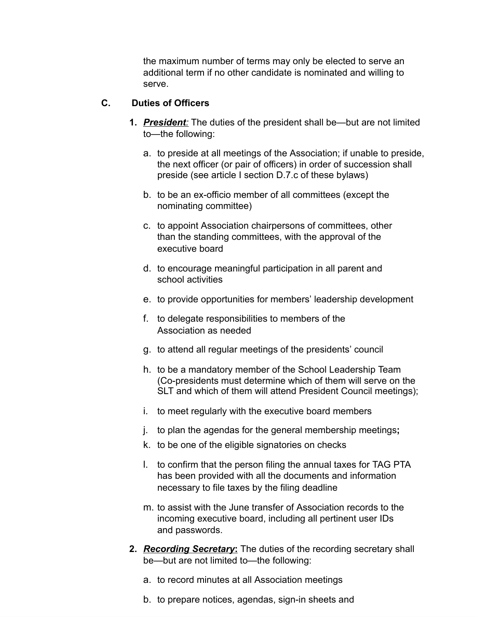the maximum number of terms may only be elected to serve an additional term if no other candidate is nominated and willing to serve.

# **C. Duties of Officers**

- **1. President:** The duties of the president shall be—but are not limited to—the following:
	- a. to preside at all meetings of the Association; if unable to preside, the next officer (or pair of officers) in order of succession shall preside (see article I section D.7.c of these bylaws)
	- b. to be an ex-officio member of all committees (except the nominating committee)
	- c. to appoint Association chairpersons of committees, other than the standing committees, with the approval of the executive board
	- d. to encourage meaningful participation in all parent and school activities
	- e. to provide opportunities for members' leadership development
	- f. to delegate responsibilities to members of the Association as needed
	- g. to attend all regular meetings of the presidents' council
	- h. to be a mandatory member of the School Leadership Team (Co-presidents must determine which of them will serve on the SLT and which of them will attend President Council meetings);
	- i. to meet regularly with the executive board members
	- j. to plan the agendas for the general membership meetings **;**
	- k. to be one of the eligible signatories on checks
	- l. to confirm that the person filing the annual taxes for TAG PTA has been provided with all the documents and information necessary to file taxes by the filing deadline
	- m. to assist with the June transfer of Association records to the incoming executive board, including all pertinent user IDs and passwords.
- **2. Recording Secretary:** The duties of the recording secretary shall be—but are not limited to—the following:
	- a. to record minutes at all Association meetings
	- b. to prepare notices, agendas, sign-in sheets and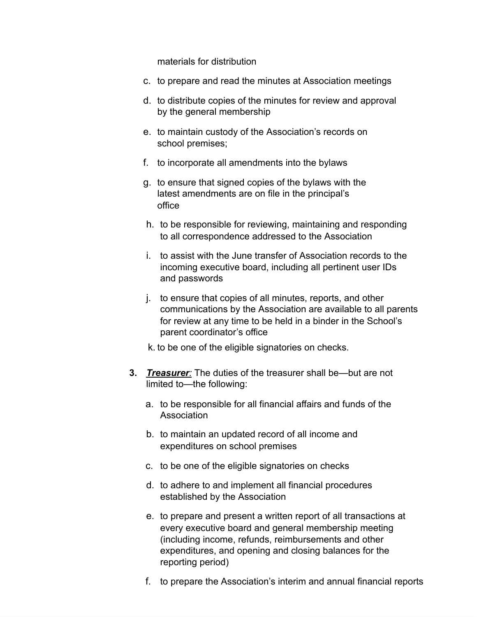materials for distribution

- c. to prepare and read the minutes at Association meetings
- d. to distribute copies of the minutes for review and approval by the general membership
- e. to maintain custody of the Association's records on school premises;
- f. to incorporate all amendments into the bylaws
- g. to ensure that signed copies of the bylaws with the latest amendments are on file in the principal's office
- h. to be responsible for reviewing, maintaining and responding to all correspondence addressed to the Association
- i. to assist with the June transfer of Association records to the incoming executive board, including all pertinent user IDs and passwords
- j. to ensure that copies of all minutes, reports, and other communications by the Association are available to all parents for review at any time to be held in a binder in the School's parent coordinator's office
- k. to be one of the eligible signatories on checks.
- **3.** *Treasurer*: The duties of the treasurer shall be—but are not limited to—the following:
	- a. to be responsible for all financial affairs and funds of the Association
	- b. to maintain an updated record of all income and expenditures on school premises
	- c. to be one of the eligible signatories on checks
	- d. to adhere to and implement all financial procedures established by the Association
	- e. to prepare and present a written report of all transactions at every executive board and general membership meeting (including income, refunds, reimbursements and other expenditures, and opening and closing balances for the reporting period)
	- f. to prepare the Association's interim and annual financial reports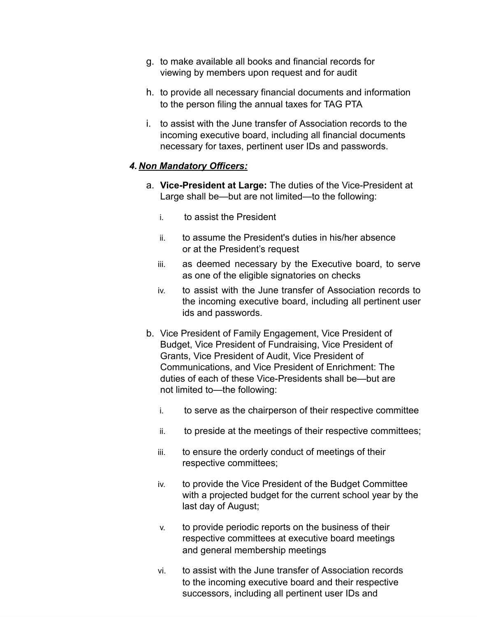- g. to make available all books and financial records for viewing by members upon request and for audit
- h. to provide all necessary financial documents and information to the person filing the annual taxes for TAG PTA
- i. to assist with the June transfer of Association records to the incoming executive board, including all financial documents necessary for taxes, pertinent user IDs and passwords.

#### *4. Non Mandatory Officers:*

- a. **Vice-President at Large:** The duties of the Vice-President at Large shall be—but are not limited—to the following:
	- i. to assist the President
	- ii. to assume the President's duties in his/her absence or at the President's request
	- iii. as deemed necessary by the Executive board, to serve as one of the eligible signatories on checks
	- iv. to assist with the June transfer of Association records to the incoming executive board, including all pertinent user ids and passwords.
- b. Vice President of Family Engagement, Vice President of Budget, Vice President of Fundraising, Vice President of Grants, Vice President of Audit, Vice President of Communications, and Vice President of Enrichment: The duties of each of these Vice-Presidents shall be—but are not limited to—the following:
	- i. to serve as the chairperson of their respective committee
	- ii. to preside at the meetings of their respective committees;
	- iii. to ensure the orderly conduct of meetings of their respective committees;
	- iv. to provide the Vice President of the Budget Committee with a projected budget for the current school year by the last day of August;
	- v. to provide periodic reports on the business of their respective committees at executive board meetings and general membership meetings
	- vi. to assist with the June transfer of Association records to the incoming executive board and their respective successors, including all pertinent user IDs and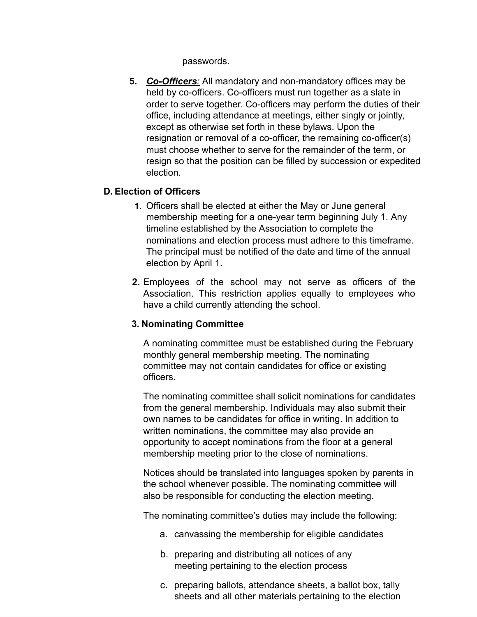passwords.

**5.** *Co-Officers :* All mandatory and non-mandatory offices may be held by co-officers. Co-officers must run together as a slate in order to serve together. Co-officers may perform the duties of their office, including attendance at meetings, either singly or jointly, except as otherwise set forth in these bylaws. Upon the resignation or removal of a co-officer, the remaining co-officer(s) must choose whether to serve for the remainder of the term, or resign so that the position can be filled by succession or expedited election.

### **D. Election of Officers**

- **1.** Officers shall be elected at either the May or June general membership meeting for a one-year term beginning July 1. Any timeline established by the Association to complete the nominations and election process must adhere to this timeframe. The principal must be notified of the date and time of the annual election by April 1.
- **2.** Employees of the school may not serve as officers of the Association. This restriction applies equally to employees who have a child currently attending the school.

# **3. Nominating Committee**

A nominating committee must be established during the February monthly general membership meeting. The nominating committee may not contain candidates for office or existing officers.

The nominating committee shall solicit nominations for candidates from the general membership. Individuals may also submit their own names to be candidates for office in writing. In addition to written nominations, the committee may also provide an opportunity to accept nominations from the floor at a general membership meeting prior to the close of nominations.

Notices should be translated into languages spoken by parents in the school whenever possible. The nominating committee will also be responsible for conducting the election meeting.

The nominating committee's duties may include the following:

- a. canvassing the membership for eligible candidates
- b. preparing and distributing all notices of any meeting pertaining to the election process
- c. preparing ballots, attendance sheets, a ballot box, tally sheets and all other materials pertaining to the election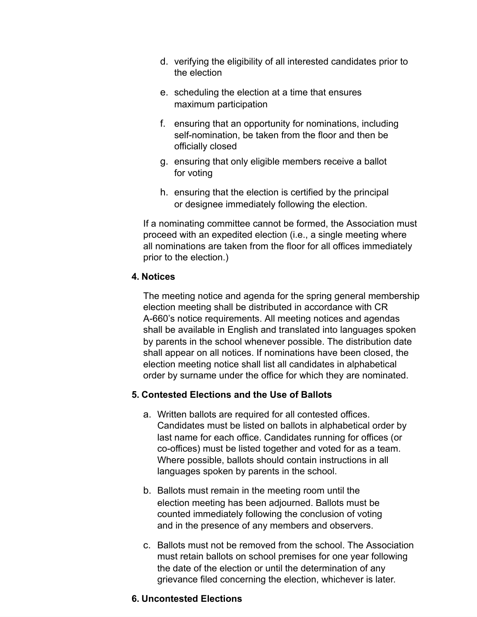- d. verifying the eligibility of all interested candidates prior to the election
- e. scheduling the election at a time that ensures maximum participation
- f. ensuring that an opportunity for nominations, including self-nomination, be taken from the floor and then be officially closed
- g. ensuring that only eligible members receive a ballot for voting
- h. ensuring that the election is certified by the principal or designee immediately following the election.

If a nominating committee cannot be formed, the Association must proceed with an expedited election (i.e., a single meeting where all nominations are taken from the floor for all offices immediately prior to the election.)

### **4. Notices**

The meeting notice and agenda for the spring general membership election meeting shall be distributed in accordance with CR A-660's notice requirements. All meeting notices and agendas shall be available in English and translated into languages spoken by parents in the school whenever possible. The distribution date shall appear on all notices. If nominations have been closed, the election meeting notice shall list all candidates in alphabetical order by surname under the office for which they are nominated.

#### **5. Contested Elections and the Use of Ballots**

- a. Written ballots are required for all contested offices. Candidates must be listed on ballots in alphabetical order by last name for each office. Candidates running for offices (or co-offices) must be listed together and voted for as a team. Where possible, ballots should contain instructions in all languages spoken by parents in the school.
- b. Ballots must remain in the meeting room until the election meeting has been adjourned. Ballots must be counted immediately following the conclusion of voting and in the presence of any members and observers.
- c. Ballots must not be removed from the school. The Association must retain ballots on school premises for one year following the date of the election or until the determination of any grievance filed concerning the election, whichever is later.

#### **6. Uncontested Elections**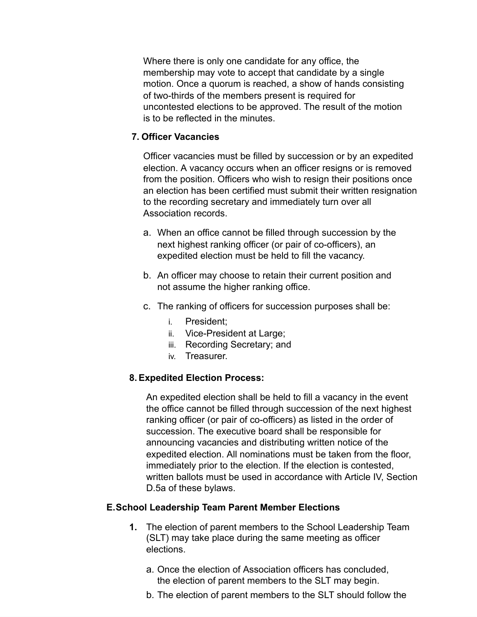Where there is only one candidate for any office, the membership may vote to accept that candidate by a single motion. Once a quorum is reached, a show of hands consisting of two-thirds of the members present is required for uncontested elections to be approved. The result of the motion is to be reflected in the minutes.

#### **7. Officer Vacancies**

Officer vacancies must be filled by succession or by an expedited election. A vacancy occurs when an officer resigns or is removed from the position. Officers who wish to resign their positions once an election has been certified must submit their written resignation to the recording secretary and immediately turn over all Association records.

- a. When an office cannot be filled through succession by the next highest ranking officer (or pair of co-officers), an expedited election must be held to fill the vacancy.
- b. An officer may choose to retain their current position and not assume the higher ranking office.
- c. The ranking of officers for succession purposes shall be:
	- i. President;
	- ii. Vice-President at Large;
	- iii. Recording Secretary; and
	- iv. Treasurer.

# **8. Expedited Election Process:**

An expedited election shall be held to fill a vacancy in the event the office cannot be filled through succession of the next highest ranking officer (or pair of co-officers) as listed in the order of succession. The executive board shall be responsible for announcing vacancies and distributing written notice of the expedited election. All nominations must be taken from the floor, immediately prior to the election. If the election is contested, written ballots must be used in accordance with Article IV, Section D.5a of these bylaws.

# **E.School Leadership Team Parent Member Elections**

- **1.** The election of parent members to the School Leadership Team (SLT) may take place during the same meeting as officer elections.
	- a. Once the election of Association officers has concluded, the election of parent members to the SLT may begin.
	- b. The election of parent members to the SLT should follow the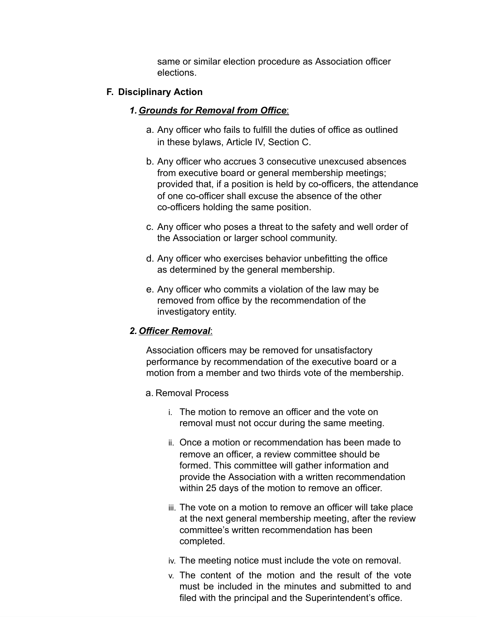same or similar election procedure as Association officer elections.

### **F. Disciplinary Action**

### *1. Grounds for Removal from Office* :

- a. Any officer who fails to fulfill the duties of office as outlined in these bylaws, Article IV, Section C.
- b. Any officer who accrues 3 consecutive unexcused absences from executive board or general membership meetings; provided that, if a position is held by co-officers, the attendance of one co-officer shall excuse the absence of the other co-officers holding the same position.
- c. Any officer who poses a threat to the safety and well order of the Association or larger school community.
- d. Any officer who exercises behavior unbefitting the office as determined by the general membership.
- e. Any officer who commits a violation of the law may be removed from office by the recommendation of the investigatory entity.

#### *2. Officer Removal* :

Association officers may be removed for unsatisfactory performance by recommendation of the executive board or a motion from a member and two thirds vote of the membership.

- a. Removal Process
	- i. The motion to remove an officer and the vote on removal must not occur during the same meeting.
	- ii. Once a motion or recommendation has been made to remove an officer, a review committee should be formed. This committee will gather information and provide the Association with a written recommendation within 25 days of the motion to remove an officer.
	- iii. The vote on a motion to remove an officer will take place at the next general membership meeting, after the review committee's written recommendation has been completed.
	- iv. The meeting notice must include the vote on removal.
	- v. The content of the motion and the result of the vote must be included in the minutes and submitted to and filed with the principal and the Superintendent's office.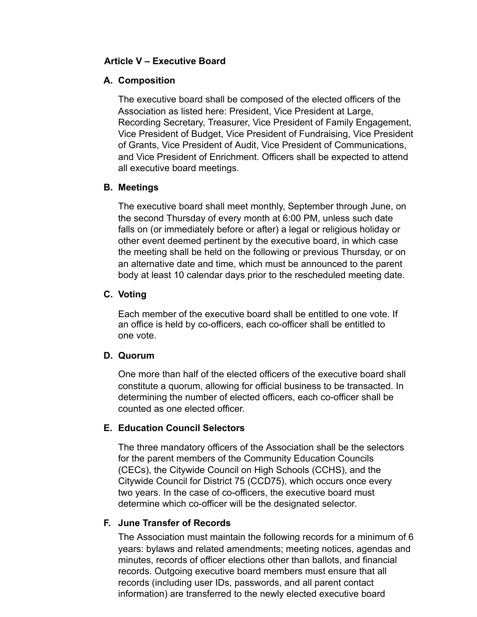### **Article V – Executive Board**

#### **A. Composition**

The executive board shall be composed of the elected officers of the Association as listed here: President, Vice President at Large, Recording Secretary, Treasurer, Vice President of Family Engagement, Vice President of Budget, Vice President of Fundraising, Vice President of Grants, Vice President of Audit, Vice President of Communications, and Vice President of Enrichment. Officers shall be expected to attend all executive board meetings.

### **B. Meetings**

The executive board shall meet monthly, September through June, on the second Thursday of every month at 6:00 PM, unless such date falls on (or immediately before or after) a legal or religious holiday or other event deemed pertinent by the executive board, in which case the meeting shall be held on the following or previous Thursday, or on an alternative date and time, which must be announced to the parent body at least 10 calendar days prior to the rescheduled meeting date.

### **C. Voting**

Each member of the executive board shall be entitled to one vote. If an office is held by co-officers, each co-officer shall be entitled to one vote.

#### **D. Quorum**

One more than half of the elected officers of the executive board shall constitute a quorum, allowing for official business to be transacted. In determining the number of elected officers, each co-officer shall be counted as one elected officer.

# **E. Education Council Selectors**

The three mandatory officers of the Association shall be the selectors for the parent members of the Community Education Councils (CECs), the Citywide Council on High Schools (CCHS), and the Citywide Council for District 75 (CCD75), which occurs once every two years. In the case of co-officers, the executive board must determine which co-officer will be the designated selector.

# **F. June Transfer of Records**

The Association must maintain the following records for a minimum of 6 years: bylaws and related amendments; meeting notices, agendas and minutes, records of officer elections other than ballots, and financial records. Outgoing executive board members must ensure that all records (including user IDs, passwords, and all parent contact information) are transferred to the newly elected executive board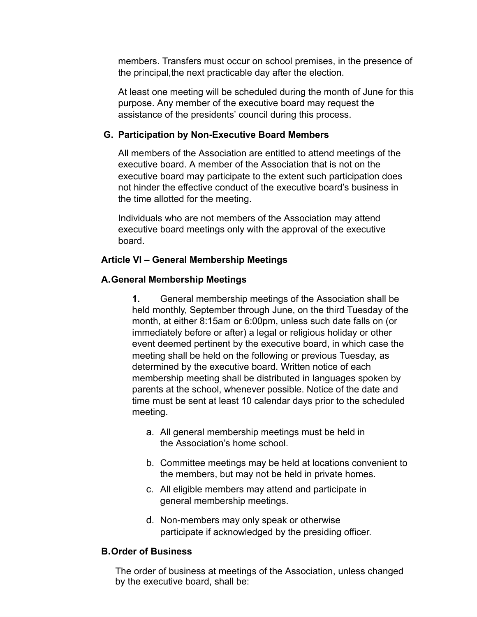members. Transfers must occur on school premises, in the presence of the principal, the next practicable day after the election.

At least one meeting will be scheduled during the month of June for this purpose. Any member of the executive board may request the assistance of the presidents' council during this process.

# **G. Participation by Non-Executive Board Members**

All members of the Association are entitled to attend meetings of the executive board. A member of the Association that is not on the executive board may participate to the extent such participation does not hinder the effective conduct of the executive board's business in the time allotted for the meeting.

Individuals who are not members of the Association may attend executive board meetings only with the approval of the executive board.

### **Article VI – General Membership Meetings**

### **A.General Membership Meetings**

**1.** General membership meetings of the Association shall be held monthly, September through June, on the third Tuesday of the month, at either 8:15am or 6:00pm, unless such date falls on (or immediately before or after) a legal or religious holiday or other event deemed pertinent by the executive board, in which case the meeting shall be held on the following or previous Tuesday, as determined by the executive board. Written notice of each membership meeting shall be distributed in languages spoken by parents at the school, whenever possible. Notice of the date and time must be sent at least 10 calendar days prior to the scheduled meeting.

- a. All general membership meetings must be held in the Association's home school.
- b. Committee meetings may be held at locations convenient to the members, but may not be held in private homes.
- c. All eligible members may attend and participate in general membership meetings.
- d. Non-members may only speak or otherwise participate if acknowledged by the presiding officer.

#### **B.Order of Business**

The order of business at meetings of the Association, unless changed by the executive board, shall be: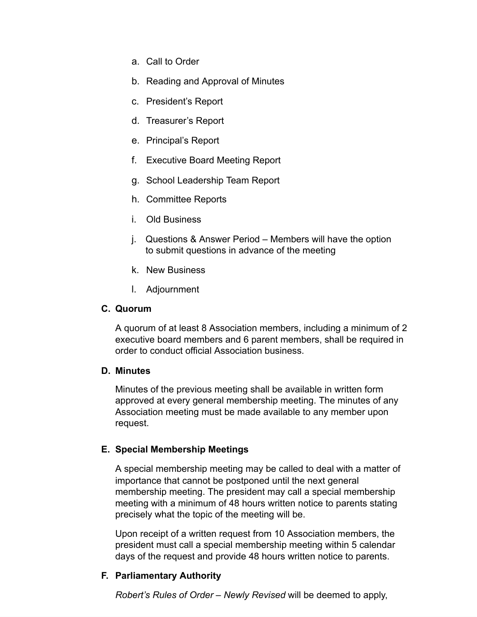- a. Call to Order
- b. Reading and Approval of Minutes
- c. President's Report
- d. Treasurer's Report
- e. Principal's Report
- f. Executive Board Meeting Report
- g. School Leadership Team Report
- h. Committee Reports
- i. Old Business
- j. Questions & Answer Period Members will have the option to submit questions in advance of the meeting
- k. New Business
- l. Adjournment

#### **C. Quorum**

A quorum of at least 8 Association members, including a minimum of 2 executive board members and 6 parent members, shall be required in order to conduct official Association business.

#### **D. Minutes**

Minutes of the previous meeting shall be available in written form approved at every general membership meeting. The minutes of any Association meeting must be made available to any member upon request.

# **E. Special Membership Meetings**

A special membership meeting may be called to deal with a matter of importance that cannot be postponed until the next general membership meeting. The president may call a special membership meeting with a minimum of 48 hours written notice to parents stating precisely what the topic of the meeting will be.

Upon receipt of a written request from 10 Association members, the president must call a special membership meeting within 5 calendar days of the request and provide 48 hours written notice to parents.

# **F. Parliamentary Authority**

*Robert's Rules of Order – Newly Revised* will be deemed to apply,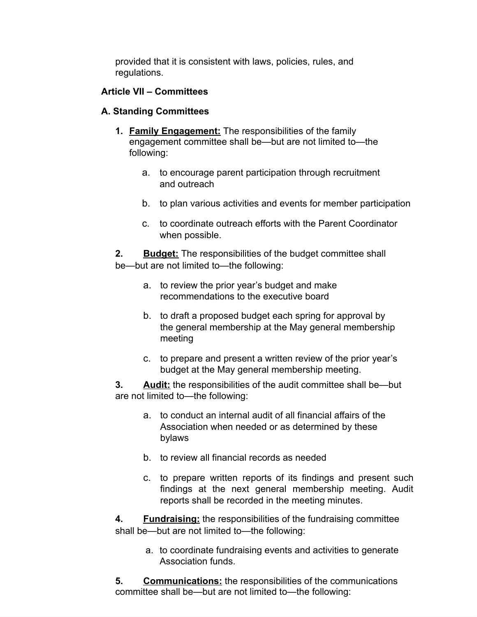provided that it is consistent with laws, policies, rules, and regulations.

# **Article VII – Committees**

# **A. Standing Committees**

- **1. Family Engagement:** The responsibilities of the family engagement committee shall be—but are not limited to—the following:
	- a. to encourage parent participation through recruitment and outreach
	- b. to plan various activities and events for member participation
	- c. to coordinate outreach efforts with the Parent Coordinator when possible.

**2. Budget:** The responsibilities of the budget committee shall be—but are not limited to—the following:

- a. to review the prior year's budget and make recommendations to the executive board
- b. to draft a proposed budget each spring for approval by the general membership at the May general membership meeting
- c. to prepare and present a written review of the prior year's budget at the May general membership meeting.

**3. Audit:** the responsibilities of the audit committee shall be—but are not limited to—the following:

- a. to conduct an internal audit of all financial affairs of the Association when needed or as determined by these bylaws
- b. to review all financial records as needed
- c. to prepare written reports of its findings and present such findings at the next general membership meeting. Audit reports shall be recorded in the meeting minutes.

**4. Fundraising:** the responsibilities of the fundraising committee shall be—but are not limited to—the following:

> a. to coordinate fundraising events and activities to generate Association funds.

**5. Communications:** the responsibilities of the communications committee shall be—but are not limited to—the following: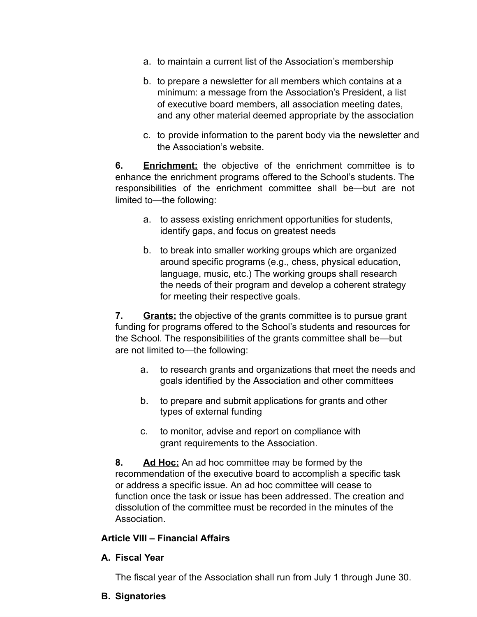- a. to maintain a current list of the Association's membership
- b. to prepare a newsletter for all members which contains at a minimum: a message from the Association's President, a list of executive board members, all association meeting dates, and any other material deemed appropriate by the association
- c. to provide information to the parent body via the newsletter and the Association's website.

**6. Enrichment:** the objective of the enrichment committee is to enhance the enrichment programs offered to the School's students. The responsibilities of the enrichment committee shall be—but are not limited to—the following:

- a. to assess existing enrichment opportunities for students, identify gaps, and focus on greatest needs
- b. to break into smaller working groups which are organized around specific programs (e.g., chess, physical education, language, music, etc.) The working groups shall research the needs of their program and develop a coherent strategy for meeting their respective goals.

**7. Grants:** the objective of the grants committee is to pursue grant funding for programs offered to the School's students and resources for the School. The responsibilities of the grants committee shall be—but are not limited to—the following:

- a. to research grants and organizations that meet the needs and goals identified by the Association and other committees
- b. to prepare and submit applications for grants and other types of external funding
- c. to monitor, advise and report on compliance with grant requirements to the Association.

**8. Ad Hoc:** An ad hoc committee may be formed by the recommendation of the executive board to accomplish a specific task or address a specific issue. An ad hoc committee will cease to function once the task or issue has been addressed. The creation and dissolution of the committee must be recorded in the minutes of the Association.

# **Article VIII – Financial Affairs**

#### **A. Fiscal Year**

The fiscal year of the Association shall run from July 1 through June 30.

**B. Signatories**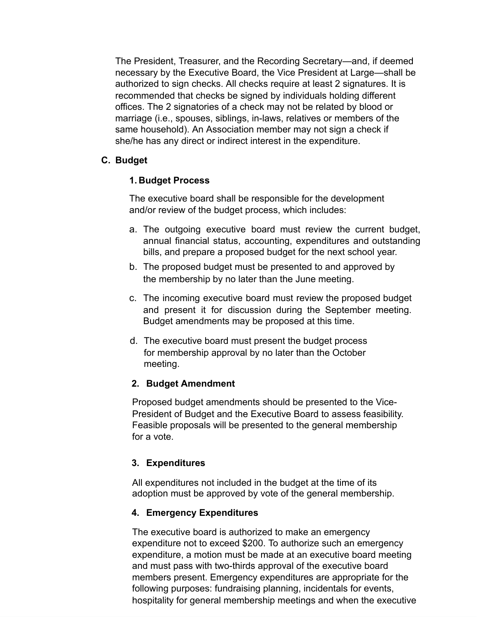The President, Treasurer, and the Recording Secretary—and, if deemed necessary by the Executive Board, the Vice President at Large—shall be authorized to sign checks. All checks require at least 2 signatures. It is recommended that checks be signed by individuals holding different offices. The 2 signatories of a check may not be related by blood or marriage (i.e., spouses, siblings, in-laws, relatives or members of the same household). An Association member may not sign a check if she/he has any direct or indirect interest in the expenditure.

# **C. Budget**

# **1. Budget Process**

The executive board shall be responsible for the development and/or review of the budget process, which includes:

- a. The outgoing executive board must review the current budget, annual financial status, accounting, expenditures and outstanding bills, and prepare a proposed budget for the next school year.
- b. The proposed budget must be presented to and approved by the membership by no later than the June meeting.
- c. The incoming executive board must review the proposed budget and present it for discussion during the September meeting. Budget amendments may be proposed at this time.
- d. The executive board must present the budget process for membership approval by no later than the October meeting.

# **2. Budget Amendment**

Proposed budget amendments should be presented to the Vice-President of Budget and the Executive Board to assess feasibility. Feasible proposals will be presented to the general membership for a vote.

# **3. Expenditures**

All expenditures not included in the budget at the time of its adoption must be approved by vote of the general membership.

# **4. Emergency Expenditures**

The executive board is authorized to make an emergency expenditure not to exceed \$200. To authorize such an emergency expenditure, a motion must be made at an executive board meeting and must pass with two-thirds approval of the executive board members present. Emergency expenditures are appropriate for the following purposes: fundraising planning, incidentals for events, hospitality for general membership meetings and when the executive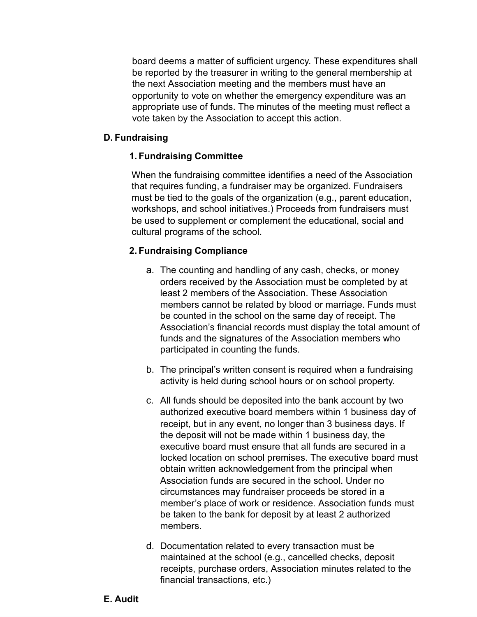board deems a matter of sufficient urgency. These expenditures shall be reported by the treasurer in writing to the general membership at the next Association meeting and the members must have an opportunity to vote on whether the emergency expenditure was an appropriate use of funds. The minutes of the meeting must reflect a vote taken by the Association to accept this action.

### **D. Fundraising**

# **1. Fundraising Committee**

When the fundraising committee identifies a need of the Association that requires funding, a fundraiser may be organized. Fundraisers must be tied to the goals of the organization (e.g., parent education, workshops, and school initiatives.) Proceeds from fundraisers must be used to supplement or complement the educational, social and cultural programs of the school.

# **2. Fundraising Compliance**

- a. The counting and handling of any cash, checks, or money orders received by the Association must be completed by at least 2 members of the Association. These Association members cannot be related by blood or marriage. Funds must be counted in the school on the same day of receipt. The Association's financial records must display the total amount of funds and the signatures of the Association members who participated in counting the funds.
- b. The principal's written consent is required when a fundraising activity is held during school hours or on school property.
- c. All funds should be deposited into the bank account by two authorized executive board members within 1 business day of receipt, but in any event, no longer than 3 business days. If the deposit will not be made within 1 business day, the executive board must ensure that all funds are secured in a locked location on school premises. The executive board must obtain written acknowledgement from the principal when Association funds are secured in the school. Under no circumstances may fundraiser proceeds be stored in a member's place of work or residence. Association funds must be taken to the bank for deposit by at least 2 authorized members.
- d. Documentation related to every transaction must be maintained at the school (e.g., cancelled checks, deposit receipts, purchase orders, Association minutes related to the financial transactions, etc.)

# **E. Audit**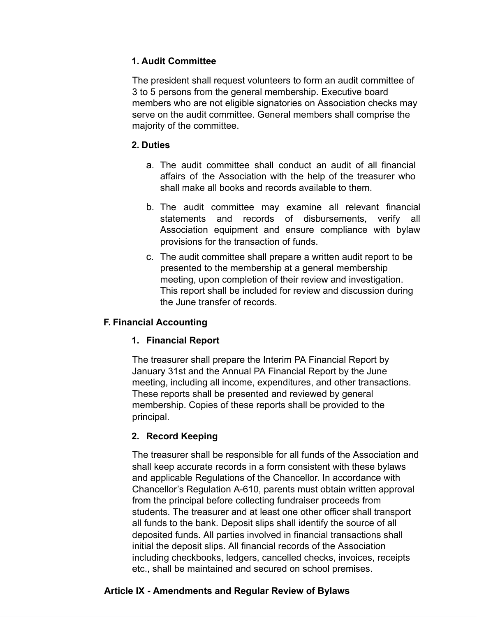# **1. Audit Committee**

The president shall request volunteers to form an audit committee of 3 to 5 persons from the general membership. Executive board members who are not eligible signatories on Association checks may serve on the audit committee. General members shall comprise the majority of the committee.

### **2. Duties**

- a. The audit committee shall conduct an audit of all financial affairs of the Association with the help of the treasurer who shall make all books and records available to them.
- b. The audit committee may examine all relevant financial statements and records of disbursements, verify all Association equipment and ensure compliance with bylaw provisions for the transaction of funds.
- c. The audit committee shall prepare a written audit report to be presented to the membership at a general membership meeting, upon completion of their review and investigation. This report shall be included for review and discussion during the June transfer of records.

# **F. Financial Accounting**

# **1. Financial Report**

The treasurer shall prepare the Interim PA Financial Report by January 31st and the Annual PA Financial Report by the June meeting, including all income, expenditures, and other transactions. These reports shall be presented and reviewed by general membership. Copies of these reports shall be provided to the principal.

# **2. Record Keeping**

The treasurer shall be responsible for all funds of the Association and shall keep accurate records in a form consistent with these bylaws and applicable Regulations of the Chancellor. In accordance with Chancellor's Regulation A-610, parents must obtain written approval from the principal before collecting fundraiser proceeds from students. The treasurer and at least one other officer shall transport all funds to the bank. Deposit slips shall identify the source of all deposited funds. All parties involved in financial transactions shall initial the deposit slips. All financial records of the Association including checkbooks, ledgers, cancelled checks, invoices, receipts etc., shall be maintained and secured on school premises.

# **Article IX - Amendments and Regular Review of Bylaws**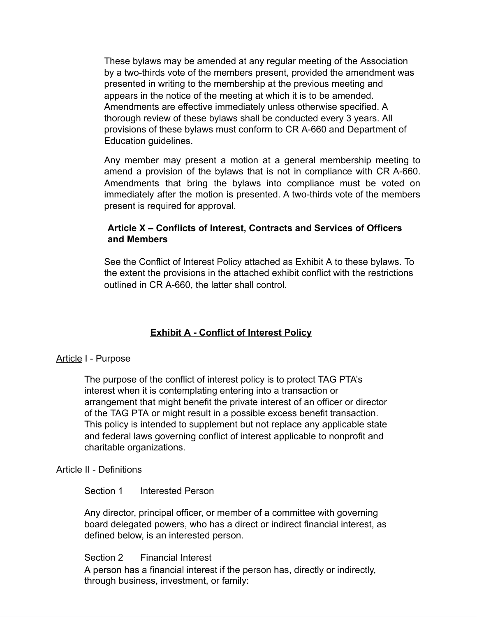These bylaws may be amended at any regular meeting of the Association by a two-thirds vote of the members present, provided the amendment was presented in writing to the membership at the previous meeting and appears in the notice of the meeting at which it is to be amended. Amendments are effective immediately unless otherwise specified. A thorough review of these bylaws shall be conducted every 3 years. All provisions of these bylaws must conform to CR A-660 and Department of Education guidelines.

Any member may present a motion at a general membership meeting to amend a provision of the bylaws that is not in compliance with CR A-660. Amendments that bring the bylaws into compliance must be voted on immediately after the motion is presented. A two-thirds vote of the members present is required for approval.

### **Article X – Conflicts of Interest, Contracts and Services of Officers and Members**

See the Conflict of Interest Policy attached as Exhibit A to these bylaws. To the extent the provisions in the attached exhibit conflict with the restrictions outlined in CR A-660, the latter shall control.

# **Exhibit A - Conflict of Interest Policy**

# Article I - Purpose

The purpose of the conflict of interest policy is to protect TAG PTA's interest when it is contemplating entering into a transaction or arrangement that might benefit the private interest of an officer or director of the TAG PTA or might result in a possible excess benefit transaction. This policy is intended to supplement but not replace any applicable state and federal laws governing conflict of interest applicable to nonprofit and charitable organizations.

#### Article II - Definitions

#### Section 1 Interested Person

Any director, principal officer, or member of a committee with governing board delegated powers, who has a direct or indirect financial interest, as defined below, is an interested person.

Section 2 Financial Interest

A person has a financial interest if the person has, directly or indirectly, through business, investment, or family: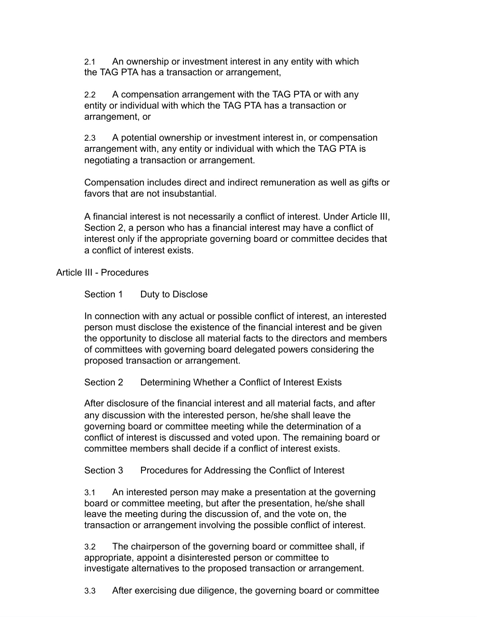2.1 An ownership or investment interest in any entity with which the TAG PTA has a transaction or arrangement,

2.2 A compensation arrangement with the TAG PTA or with any entity or individual with which the TAG PTA has a transaction or arrangement, or

2.3 A potential ownership or investment interest in, or compensation arrangement with, any entity or individual with which the TAG PTA is negotiating a transaction or arrangement.

Compensation includes direct and indirect remuneration as well as gifts or favors that are not insubstantial.

A financial interest is not necessarily a conflict of interest. Under Article III, Section 2, a person who has a financial interest may have a conflict of interest only if the appropriate governing board or committee decides that a conflict of interest exists.

Article III - Procedures

Section 1 Duty to Disclose

In connection with any actual or possible conflict of interest, an interested person must disclose the existence of the financial interest and be given the opportunity to disclose all material facts to the directors and members of committees with governing board delegated powers considering the proposed transaction or arrangement.

Section 2 Determining Whether a Conflict of Interest Exists

After disclosure of the financial interest and all material facts, and after any discussion with the interested person, he/she shall leave the governing board or committee meeting while the determination of a conflict of interest is discussed and voted upon. The remaining board or committee members shall decide if a conflict of interest exists.

Section 3 Procedures for Addressing the Conflict of Interest

3.1 An interested person may make a presentation at the governing board or committee meeting, but after the presentation, he/she shall leave the meeting during the discussion of, and the vote on, the transaction or arrangement involving the possible conflict of interest.

3.2 The chairperson of the governing board or committee shall, if appropriate, appoint a disinterested person or committee to investigate alternatives to the proposed transaction or arrangement.

3.3 After exercising due diligence, the governing board or committee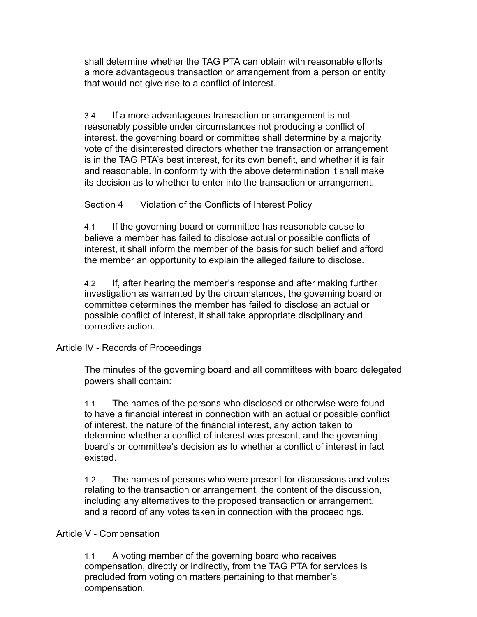shall determine whether the TAG PTA can obtain with reasonable efforts a more advantageous transaction or arrangement from a person or entity that would not give rise to a conflict of interest.

3.4 If a more advantageous transaction or arrangement is not reasonably possible under circumstances not producing a conflict of interest, the governing board or committee shall determine by a majority vote of the disinterested directors whether the transaction or arrangement is in the TAG PTA's best interest, for its own benefit, and whether it is fair and reasonable. In conformity with the above determination it shall make its decision as to whether to enter into the transaction or arrangement.

Section 4 Violation of the Conflicts of Interest Policy

4.1 If the governing board or committee has reasonable cause to believe a member has failed to disclose actual or possible conflicts of interest, it shall inform the member of the basis for such belief and afford the member an opportunity to explain the alleged failure to disclose.

4.2 If, after hearing the member's response and after making further investigation as warranted by the circumstances, the governing board or committee determines the member has failed to disclose an actual or possible conflict of interest, it shall take appropriate disciplinary and corrective action.

#### Article IV - Records of Proceedings

The minutes of the governing board and all committees with board delegated powers shall contain:

1.1 The names of the persons who disclosed or otherwise were found to have a financial interest in connection with an actual or possible conflict of interest, the nature of the financial interest, any action taken to determine whether a conflict of interest was present, and the governing board's or committee's decision as to whether a conflict of interest in fact existed.

1.2 The names of persons who were present for discussions and votes relating to the transaction or arrangement, the content of the discussion, including any alternatives to the proposed transaction or arrangement, and a record of any votes taken in connection with the proceedings.

#### Article V - Compensation

1.1 A voting member of the governing board who receives compensation, directly or indirectly, from the TAG PTA for services is precluded from voting on matters pertaining to that member's compensation.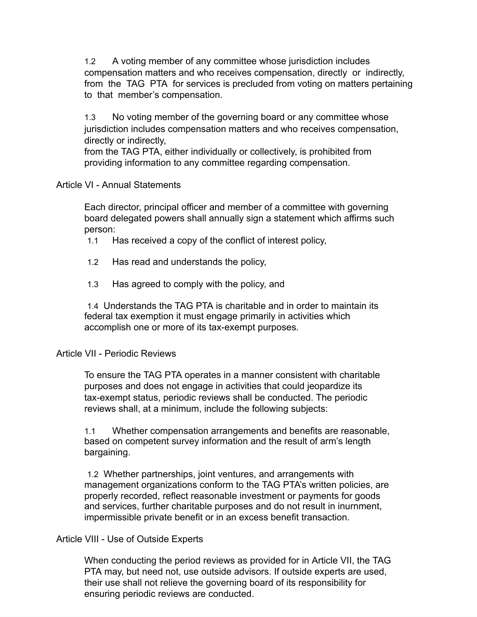1.2 A voting member of any committee whose jurisdiction includes compensation matters and who receives compensation, directly or indirectly, from the TAG PTA for services is precluded from voting on matters pertaining to that member's compensation.

1.3 No voting member of the governing board or any committee whose jurisdiction includes compensation matters and who receives compensation, directly or indirectly,

from the TAG PTA, either individually or collectively, is prohibited from providing information to any committee regarding compensation.

### Article VI - Annual Statements

Each director, principal officer and member of a committee with governing board delegated powers shall annually sign a statement which affirms such person:

- 1.1 Has received a copy of the conflict of interest policy,
- 1.2 Has read and understands the policy,
- 1.3 Has agreed to comply with the policy, and

1.4 Understands the TAG PTA is charitable and in order to maintain its federal tax exemption it must engage primarily in activities which accomplish one or more of its tax-exempt purposes.

#### Article VII - Periodic Reviews

To ensure the TAG PTA operates in a manner consistent with charitable purposes and does not engage in activities that could jeopardize its tax-exempt status, periodic reviews shall be conducted. The periodic reviews shall, at a minimum, include the following subjects:

1.1 Whether compensation arrangements and benefits are reasonable, based on competent survey information and the result of arm's length bargaining.

1.2 Whether partnerships, joint ventures, and arrangements with management organizations conform to the TAG PTA's written policies, are properly recorded, reflect reasonable investment or payments for goods and services, further charitable purposes and do not result in inurnment, impermissible private benefit or in an excess benefit transaction.

# Article VIII - Use of Outside Experts

When conducting the period reviews as provided for in Article VII, the TAG PTA may, but need not, use outside advisors. If outside experts are used, their use shall not relieve the governing board of its responsibility for ensuring periodic reviews are conducted.